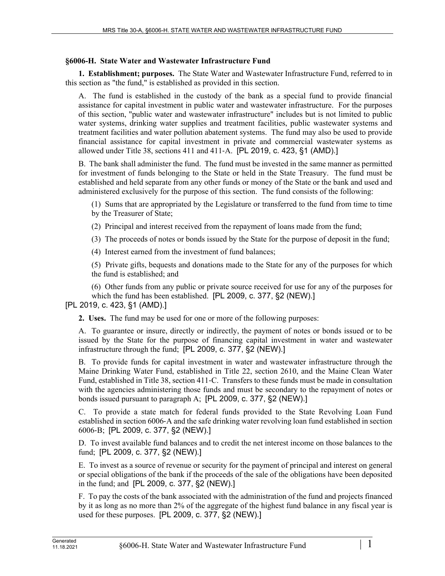## **§6006-H. State Water and Wastewater Infrastructure Fund**

**1. Establishment; purposes.** The State Water and Wastewater Infrastructure Fund, referred to in this section as "the fund," is established as provided in this section.

A. The fund is established in the custody of the bank as a special fund to provide financial assistance for capital investment in public water and wastewater infrastructure. For the purposes of this section, "public water and wastewater infrastructure" includes but is not limited to public water systems, drinking water supplies and treatment facilities, public wastewater systems and treatment facilities and water pollution abatement systems. The fund may also be used to provide financial assistance for capital investment in private and commercial wastewater systems as allowed under Title 38, sections 411 and 411‑A. [PL 2019, c. 423, §1 (AMD).]

B. The bank shall administer the fund. The fund must be invested in the same manner as permitted for investment of funds belonging to the State or held in the State Treasury. The fund must be established and held separate from any other funds or money of the State or the bank and used and administered exclusively for the purpose of this section. The fund consists of the following:

(1) Sums that are appropriated by the Legislature or transferred to the fund from time to time by the Treasurer of State;

(2) Principal and interest received from the repayment of loans made from the fund;

(3) The proceeds of notes or bonds issued by the State for the purpose of deposit in the fund;

(4) Interest earned from the investment of fund balances;

(5) Private gifts, bequests and donations made to the State for any of the purposes for which the fund is established; and

(6) Other funds from any public or private source received for use for any of the purposes for which the fund has been established. [PL 2009, c. 377, §2 (NEW).]

## [PL 2019, c. 423, §1 (AMD).]

**2. Uses.** The fund may be used for one or more of the following purposes:

A. To guarantee or insure, directly or indirectly, the payment of notes or bonds issued or to be issued by the State for the purpose of financing capital investment in water and wastewater infrastructure through the fund; [PL 2009, c. 377, §2 (NEW).]

B. To provide funds for capital investment in water and wastewater infrastructure through the Maine Drinking Water Fund, established in Title 22, section 2610, and the Maine Clean Water Fund, established in Title 38, section 411–C. Transfers to these funds must be made in consultation with the agencies administering those funds and must be secondary to the repayment of notes or bonds issued pursuant to paragraph A; [PL 2009, c. 377, §2 (NEW).]

C. To provide a state match for federal funds provided to the State Revolving Loan Fund established in section 6006‑A and the safe drinking water revolving loan fund established in section 6006‑B; [PL 2009, c. 377, §2 (NEW).]

D. To invest available fund balances and to credit the net interest income on those balances to the fund; [PL 2009, c. 377, §2 (NEW).]

E. To invest as a source of revenue or security for the payment of principal and interest on general or special obligations of the bank if the proceeds of the sale of the obligations have been deposited in the fund; and [PL 2009, c. 377, §2 (NEW).]

F. To pay the costs of the bank associated with the administration of the fund and projects financed by it as long as no more than 2% of the aggregate of the highest fund balance in any fiscal year is used for these purposes. [PL 2009, c. 377, §2 (NEW).]